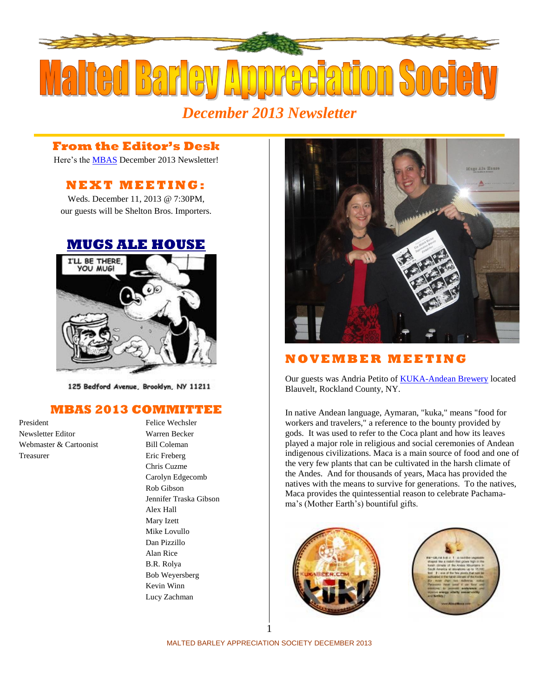

# *December 2013 Newsletter*

### **From the Editor's Desk**

Here's the [MBAS](http://hbd.org/mbas) December 2013 Newsletter!

# **N E X T M E ETI N G :**

Weds. December 11, 2013 @ 7:30PM, our guests will be Shelton Bros. Importers.

#### **[MUGS ALE HOUSE](http://www.mugsalehouse.com/)**



125 Bedford Avenue, Brooklyn, NY 11211

#### **MBAS 2013 COMMITTEE**

President Felice Wechsler Newsletter Editor Warren Becker Webmaster & Cartoonist Bill Coleman Treasurer Eric Freberg

Chris Cuzme Carolyn Edgecomb Rob Gibson Jennifer Traska Gibson Alex Hall Mary Izett Mike Lovullo Dan Pizzillo Alan Rice B.R. Rolya Bob Weyersberg Kevin Winn Lucy Zachman



## **N O V E MB E R M E E T I N G**

Our guests was Andria Petito o[f KUKA-Andean Brewery](http://kukablog.com/) located Blauvelt, Rockland County, NY.

In native Andean language, Aymaran, "kuka," means "food for workers and travelers," a reference to the bounty provided by gods. It was used to refer to the Coca plant and how its leaves played a major role in religious and social ceremonies of Andean indigenous civilizations. Maca is a main source of food and one of the very few plants that can be cultivated in the harsh climate of the Andes. And for thousands of years, Maca has provided the natives with the means to survive for generations. To the natives, Maca provides the quintessential reason to celebrate Pachamama's (Mother Earth's) bountiful gifts.





MALTED BARLEY APPRECIATION SOCIETY DECEMBER 2013 1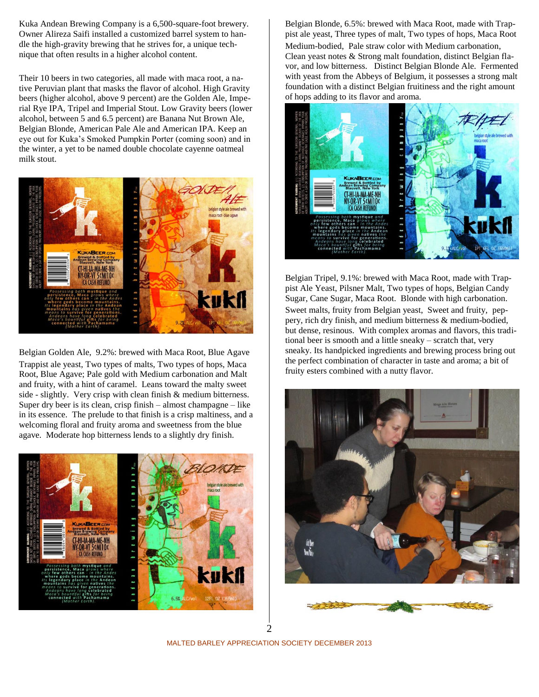Kuka Andean Brewing Company is a 6,500-square-foot brewery. Owner Alireza Saifi installed a customized barrel system to handle the high-gravity brewing that he strives for, a unique technique that often results in a higher alcohol content.

Their 10 beers in two categories, all made with maca root, a native Peruvian plant that masks the flavor of alcohol. High Gravity beers (higher alcohol, above 9 percent) are the Golden Ale, Imperial Rye IPA, Tripel and Imperial Stout. Low Gravity beers (lower alcohol, between 5 and 6.5 percent) are Banana Nut Brown Ale, Belgian Blonde, American Pale Ale and American IPA. Keep an eye out for Kuka's Smoked Pumpkin Porter (coming soon) and in the winter, a yet to be named double chocolate cayenne oatmeal milk stout.



Belgian Golden Ale, 9.2%: brewed with Maca Root, Blue Agave Trappist ale yeast, Two types of malts, Two types of hops, Maca Root, Blue Agave; Pale gold with Medium carbonation and Malt and fruity, with a hint of caramel. Leans toward the malty sweet side - slightly. Very crisp with clean finish & medium bitterness. Super dry beer is its clean, crisp finish – almost champagne – like in its essence. The prelude to that finish is a crisp maltiness, and a welcoming floral and fruity aroma and sweetness from the blue agave. Moderate hop bitterness lends to a slightly dry finish.



Belgian Blonde, 6.5%: brewed with Maca Root, made with Trappist ale yeast, Three types of malt, Two types of hops, Maca Root Medium-bodied, Pale straw color with Medium carbonation, Clean yeast notes & Strong malt foundation, distinct Belgian flavor, and low bitterness. Distinct Belgian Blonde Ale. Fermented with yeast from the Abbeys of Belgium, it possesses a strong malt foundation with a distinct Belgian fruitiness and the right amount of hops adding to its flavor and aroma.



Belgian Tripel, 9.1%: brewed with Maca Root, made with Trappist Ale Yeast, Pilsner Malt, Two types of hops, Belgian Candy Sugar, Cane Sugar, Maca Root. Blonde with high carbonation. Sweet malts, fruity from Belgian yeast, Sweet and fruity, peppery, rich dry finish, and medium bitterness & medium-bodied, but dense, resinous. With complex aromas and flavors, this traditional beer is smooth and a little sneaky – scratch that, very sneaky. Its handpicked ingredients and brewing process bring out the perfect combination of character in taste and aroma; a bit of fruity esters combined with a nutty flavor.





2

MALTED BARLEY APPRECIATION SOCIETY DECEMBER 2013